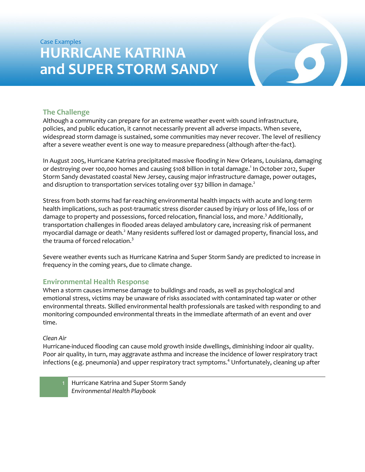# Case Examples **HURRICANE KATRINA and SUPER STORM SANDY**

## **The Challenge**

Although a community can prepare for an extreme weather event with sound infrastructure, policies, and public education, it cannot necessarily prevent all adverse impacts. When severe, widespread storm damage is sustained, some communities may never recover. The level of resiliency after a severe weather event is one way to measure preparedness (although after-the-fact).

In August 2005, Hurricane Katrina precipitated massive flooding in New Orleans, Louisiana, damaging or destroying over 100,000 homes and causing \$108 billion in total damage. 1 In October 2012, Super Storm Sandy devastated coastal New Jersey, causing major infrastructure damage, power outages, and disruption to transportation services totaling over \$37 billion in damage.<sup>2</sup>

Stress from both storms had far-reaching environmental health impacts with acute and long-term health implications, such as post-traumatic stress disorder caused by injury or loss of life, loss of or damage to property and possessions, forced relocation, financial loss, and more.<sup>3</sup> Additionally, transportation challenges in flooded areas delayed ambulatory care, increasing risk of permanent myocardial damage or death.<sup>2</sup> Many residents suffered lost or damaged property, financial loss, and the trauma of forced relocation.<sup>3</sup>

Severe weather events such as Hurricane Katrina and Super Storm Sandy are predicted to increase in frequency in the coming years, due to climate change.

#### **Environmental Health Response**

When a storm causes immense damage to buildings and roads, as well as psychological and emotional stress, victims may be unaware of risks associated with contaminated tap water or other environmental threats. Skilled environmental health professionals are tasked with responding to and monitoring compounded environmental threats in the immediate aftermath of an event and over time.

#### *Clean Air*

Hurricane-induced flooding can cause mold growth inside dwellings, diminishing indoor air quality. Poor air quality, in turn, may aggravate asthma and increase the incidence of lower respiratory tract infections (e.g. pneumonia) and upper respiratory tract symptoms.<sup>4</sup> Unfortunately, cleaning up after

Hurricane Katrina and Super Storm Sandy *Environmental Health Playbook*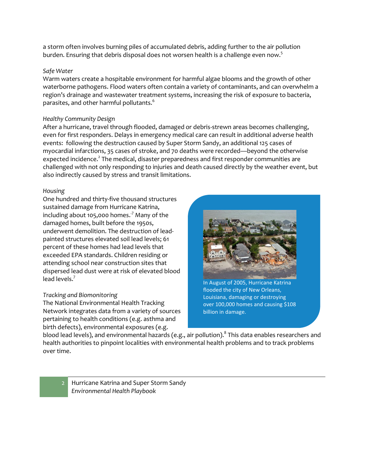a storm often involves burning piles of accumulated debris, adding further to the air pollution burden. Ensuring that debris disposal does not worsen health is a challenge even now.<sup>5</sup>

#### *Safe Water*

Warm waters create a hospitable environment for harmful algae blooms and the growth of other waterborne pathogens. Flood waters often contain a variety of contaminants, and can overwhelm a region's drainage and wastewater treatment systems, increasing the risk of exposure to bacteria, parasites, and other harmful pollutants.<sup>6</sup>

#### *Healthy Community Design*

After a hurricane, travel through flooded, damaged or debris-strewn areas becomes challenging, even for first responders. Delays in emergency medical care can result in additional adverse health events: following the destruction caused by Super Storm Sandy, an additional 125 cases of myocardial infarctions, 35 cases of stroke, and 70 deaths were recorded—beyond the otherwise expected incidence.<sup>2</sup> The medical, disaster preparedness and first responder communities are challenged with not only responding to injuries and death caused directly by the weather event, but also indirectly caused by stress and transit limitations.

#### *Housing*

One hundred and thirty-five thousand structures sustained damage from Hurricane Katrina, including about 105,000 homes. $\cdot^7$  Many of the damaged homes, built before the 1950s, underwent demolition. The destruction of leadpainted structures elevated soil lead levels; 61 percent of these homes had lead levels that exceeded EPA standards. Children residing or attending school near construction sites that dispersed lead dust were at risk of elevated blood lead levels.<sup>7</sup>

#### *Tracking and Biomonitoring*

The National Environmental Health Tracking Network integrates data from a variety of sources pertaining to health conditions (e.g. asthma and birth defects), environmental exposures (e.g.



In August of 2005, Hurricane Katrina flooded the city of New Orleans, Louisiana, damaging or destroying over 100,000 homes and causing \$108 billion in damage.

blood lead levels), and environmental hazards (e.g., air pollution). $^8$  This data enables researchers and health authorities to pinpoint localities with environmental health problems and to track problems over time.

Hurricane Katrina and Super Storm Sandy *Environmental Health Playbook*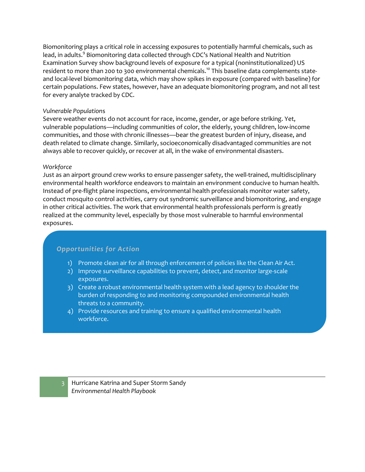Biomonitoring plays a critical role in accessing exposures to potentially harmful chemicals, such as lead, in adults.<sup>9</sup> Biomonitoring data collected through CDC's National Health and Nutrition Examination Survey show background levels of exposure for a typical (noninstitutionalized) US resident to more than 200 to 300 environmental chemicals.<sup>10</sup> This baseline data complements stateand local-level biomonitoring data, which may show spikes in exposure (compared with baseline) for certain populations. Few states, however, have an adequate biomonitoring program, and not all test for every analyte tracked by CDC.

#### *Vulnerable Population*s

Severe weather events do not account for race, income, gender, or age before striking. Yet, vulnerable populations—including communities of color, the elderly, young children, low-income communities, and those with chronic illnesses—bear the greatest burden of injury, disease, and death related to climate change. Similarly, socioeconomically disadvantaged communities are not always able to recover quickly, or recover at all, in the wake of environmental disasters.

#### *Workforce*

Just as an airport ground crew works to ensure passenger safety, the well-trained, multidisciplinary environmental health workforce endeavors to maintain an environment conducive to human health. Instead of pre-flight plane inspections, environmental health professionals monitor water safety, conduct mosquito control activities, carry out syndromic surveillance and biomonitoring, and engage in other critical activities. The work that environmental health professionals perform is greatly realized at the community level, especially by those most vulnerable to harmful environmental exposures.

### *Opportunities for Action*

- 1) Promote clean air for all through enforcement of policies like the Clean Air Act.
- 2) Improve surveillance capabilities to prevent, detect, and monitor large-scale exposures.
- 3) Create a robust environmental health system with a lead agency to shoulder the burden of responding to and monitoring compounded environmental health threats to a community.
- 4) Provide resources and training to ensure a qualified environmental health workforce.